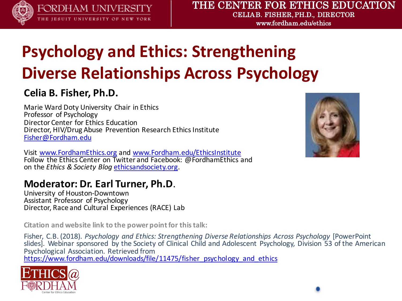

FORDHAM UNIVERSITY THE JESUIT UNIVERSITY OF NEW YORK

#### THE CENTER FOR ETHICS EDUCATION CELIA B. FISHER, PH.D., DIRECTOR

www.fordham.edu/ethics

### **Psychology and Ethics: Strengthening Diverse Relationships Across Psychology**

#### **Celia B. Fisher, Ph.D.**

Marie Ward Doty University Chair in Ethics Professor of Psychology Director Center for Ethics Education Director, HIV/Drug Abuse Prevention Research Ethics Institute Fisher@Fordham.edu

Visit www.FordhamEthics.org and www.Fordham.edu/EthicsInstitute Follow the Ethics Center on Twitter and Facebook: @FordhamEthics and on the *Ethics & Society Blog* ethicsandsociety.org.

### **Moderator: Dr. Earl Turner, Ph.D.**<br>University of Houston-Downtown

Assistant Professor of Psychology Director, Race and Cultural Experiences (RACE) Lab

**Citation and website link to the power point for this talk:** 

Fisher, C.B. (2018). *Psychology and Ethics: Strengthening Diverse Relationships Across Psychology* [PowerPoint] slides]. Webinar sponsored by the Society of Clinical Child and Adolescent Psychology, Division 53 of the American Psychological Association. Retrieved from https://www.fordham.edu/downloads/file/11475/fisher\_psychology\_and\_ethics



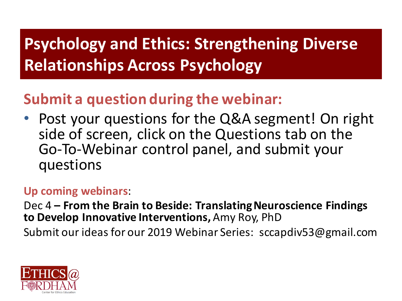### **Psychology and Ethics: Strengthening Diverse Relationships Across Psychology**

#### **Submit a question during the webinar:**

• Post your questions for the Q&A segment! On right side of screen, click on the Questions tab on the Go-To-Webinar control panel, and submit your questions

#### **Up coming webinars**:

Dec 4 – From the Brain to Beside: Translating Neuroscience Findings **to Develop Innovative Interventions, Amy Roy, PhD** 

Submit our ideas for our 2019 Webinar Series: sccapdiv53@gmail.com

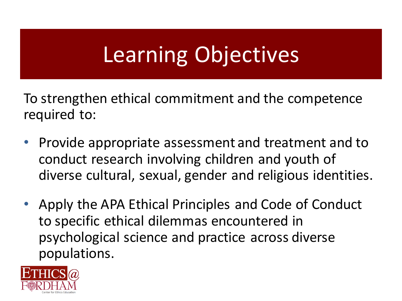# Learning Objectives

To strengthen ethical commitment and the competence required to:

- Provide appropriate assessment and treatment and to conduct research involving children and youth of diverse cultural, sexual, gender and religious identities.
- Apply the APA Ethical Principles and Code of Conduct to specific ethical dilemmas encountered in psychological science and practice across diverse populations.

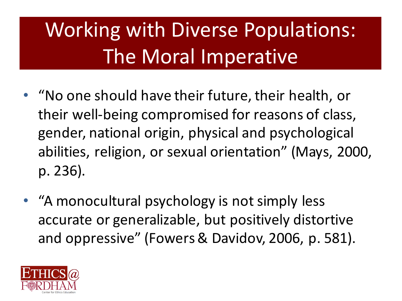# Working with Diverse Populations: The Moral Imperative

- "No one should have their future, their health, or their well-being compromised for reasons of class, gender, national origin, physical and psychological abilities, religion, or sexual orientation" (Mays, 2000, p. 236).
- "A monocultural psychology is not simply less accurate or generalizable, but positively distortive and oppressive" (Fowers & Davidov, 2006, p. 581).

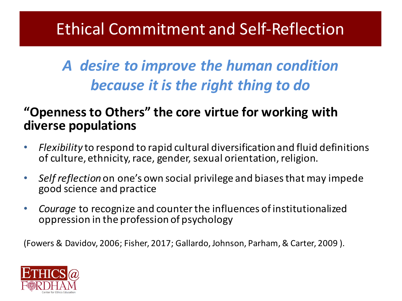### Ethical Commitment and Self-Reflection

#### *A desire to improve the human condition because it is the right thing to do*

#### **"Openness to Others" the core virtue for working with diverse populations**

- Flexibility to respond to rapid cultural diversification and fluid definitions of culture, ethnicity, race, gender, sexual orientation, religion.
- *Self reflection* on one's own social privilege and biases that may impede good science and practice
- *Courage* to recognize and counter the influences of institutionalized oppression in the profession of psychology

(Fowers & Davidov, 2006; Fisher, 2017; Gallardo, Johnson, Parham, & Carter, 2009 ).

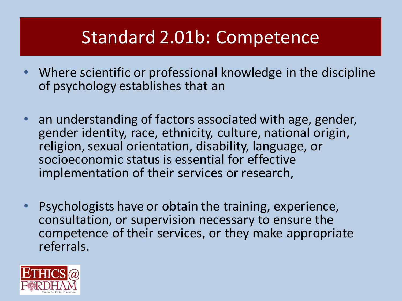### Standard 2.01b: Competence

- Where scientific or professional knowledge in the discipline of psychology establishes that an
- an understanding of factors associated with age, gender, gender identity, race, ethnicity, culture, national origin, religion, sexual orientation, disability, language, or socioeconomic status is essential for effective implementation of their services or research,
- **Psychologists have or obtain the training, experience,** consultation, or supervision necessary to ensure the competence of their services, or they make appropriate referrals.

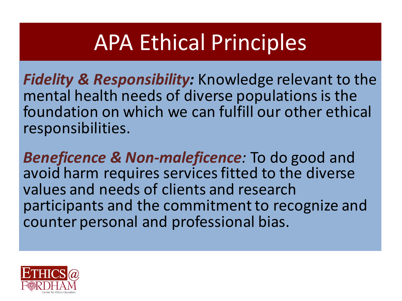# **APA Ethical Principles**

**Fidelity & Responsibility:** Knowledge relevant to the mental health needs of diverse populations is the foundation on which we can fulfill our other ethical responsibilities.

**Beneficence & Non-maleficence**: To do good and avoid harm requires services fitted to the diverse values and needs of clients and research participants and the commitment to recognize and counter personal and professional bias.

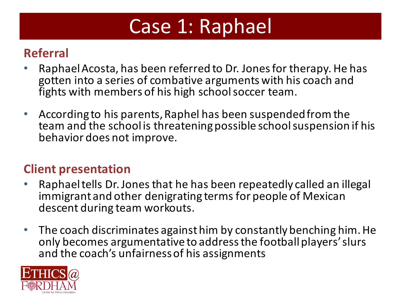## Case 1: Raphael

#### **Referral**

- Raphael Acosta, has been referred to Dr. Jones for therapy. He has gotten into a series of combative arguments with his coach and fights with members of his high school soccer team.
- According to his parents, Raphel has been suspended from the team and the school is threatening possible school suspension if his behavior does not improve.

#### **Client presentation**

- Raphael tells Dr. Jones that he has been repeatedly called an illegal immigrant and other denigrating terms for people of Mexican descent during team workouts.
- The coach discriminates against him by constantly benching him. He only becomes argumentative to address the football players' slurs and the coach's unfairness of his assignments

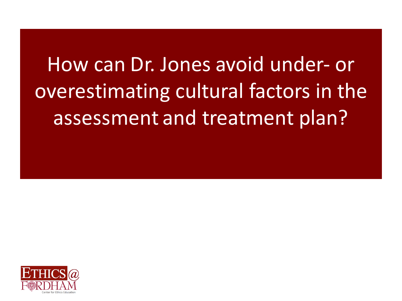# How can Dr. Jones avoid under- or overestimating cultural factors in the assessment and treatment plan?

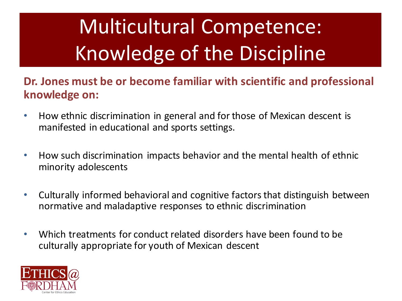# Multicultural Competence: Knowledge of the Discipline

#### Dr. Jones must be or become familiar with scientific and professional **knowledge on:**

- How ethnic discrimination in general and for those of Mexican descent is manifested in educational and sports settings.
- How such discrimination impacts behavior and the mental health of ethnic minority adolescents
- Culturally informed behavioral and cognitive factors that distinguish between normative and maladaptive responses to ethnic discrimination
- Which treatments for conduct related disorders have been found to be culturally appropriate for youth of Mexican descent

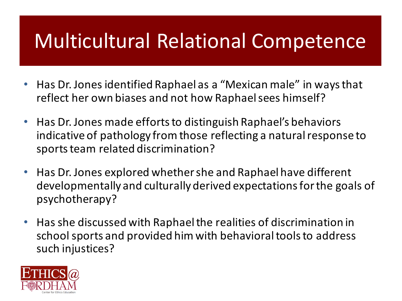## **Multicultural Relational Competence**

- Has Dr. Jones identified Raphael as a "Mexican male" in ways that reflect her own biases and not how Raphael sees himself?
- Has Dr. Jones made efforts to distinguish Raphael's behaviors indicative of pathology from those reflecting a natural response to sports team related discrimination?
- Has Dr. Jones explored whether she and Raphael have different developmentally and culturally derived expectations for the goals of psychotherapy?
- Has she discussed with Raphael the realities of discrimination in school sports and provided him with behavioral tools to address such injustices?

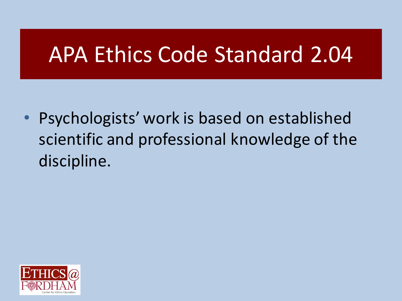## APA Ethics Code Standard 2.04

• Psychologists' work is based on established scientific and professional knowledge of the discipline.

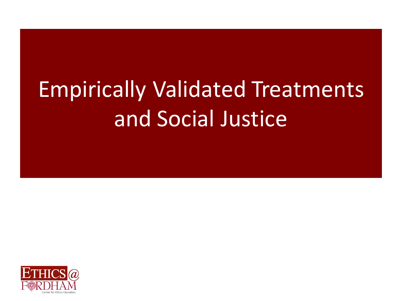# **Empirically Validated Treatments** and Social Justice

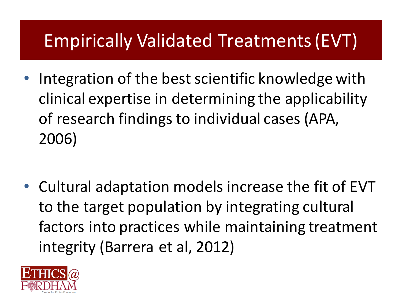### Empirically Validated Treatments (EVT)

- Integration of the best scientific knowledge with clinical expertise in determining the applicability of research findings to individual cases (APA, 2006)
- Cultural adaptation models increase the fit of EVT to the target population by integrating cultural factors into practices while maintaining treatment integrity (Barrera et al, 2012)

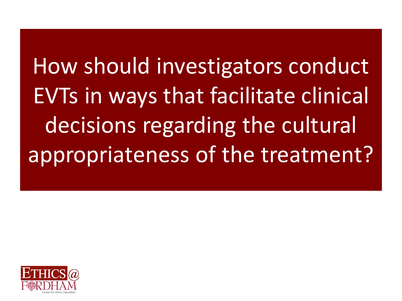How should investigators conduct EVTs in ways that facilitate clinical decisions regarding the cultural appropriateness of the treatment?

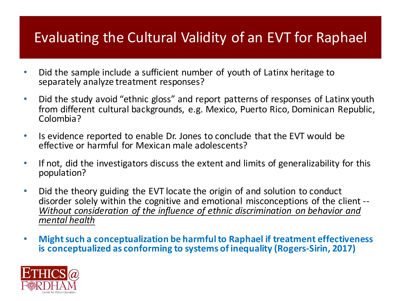#### Evaluating the Cultural Validity of an EVT for Raphael

- Did the sample include a sufficient number of youth of Latinx heritage to separately analyze treatment responses?
- Did the study avoid "ethnic gloss" and report patterns of responses of Latinx youth from different cultural backgrounds, e.g. Mexico, Puerto Rico, Dominican Republic, Colombia?
- Is evidence reported to enable Dr. Jones to conclude that the EVT would be effective or harmful for Mexican male adolescents?
- If not, did the investigators discuss the extent and limits of generalizability for this population?
- Did the theory guiding the EVT locate the origin of and solution to conduct disorder solely within the cognitive and emotional misconceptions of the client --<br>*Without consideration of the influence of ethnic discrimination on behavior and mental health*
- Might such a conceptualization be harmful to Raphael if treatment effectiveness **is conceptualized as conforming to systems of inequality (Rogers-Sirin, 2017)**

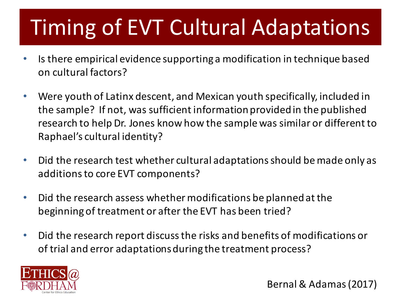# **Timing of EVT Cultural Adaptations**

- Is there empirical evidence supporting a modification in technique based on cultural factors?
- Were youth of Latinx descent, and Mexican youth specifically, included in the sample? If not, was sufficient information provided in the published research to help Dr. Jones know how the sample was similar or different to Raphael's cultural identity?
- Did the research test whether cultural adaptations should be made only as additions to core EVT components?
- Did the research assess whether modifications be planned at the beginning of treatment or after the EVT has been tried?
- Did the research report discuss the risks and benefits of modifications or of trial and error adaptations during the treatment process?



Bernal & Adamas(2017)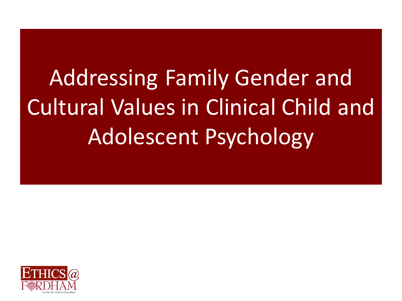Addressing Family Gender and Cultural Values in Clinical Child and Adolescent Psychology

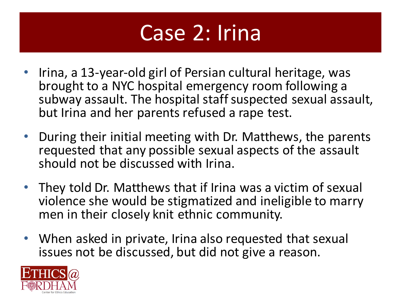

- Irina, a 13-year-old girl of Persian cultural heritage, was brought to a NYC hospital emergency room following a subway assault. The hospital staff suspected sexual assault, but Irina and her parents refused a rape test.
- During their initial meeting with Dr. Matthews, the parents requested that any possible sexual aspects of the assault should not be discussed with Irina.
- They told Dr. Matthews that if Irina was a victim of sexual violence she would be stigmatized and ineligible to marry men in their closely knit ethnic community.
- When asked in private, Irina also requested that sexual issues not be discussed, but did not give a reason.

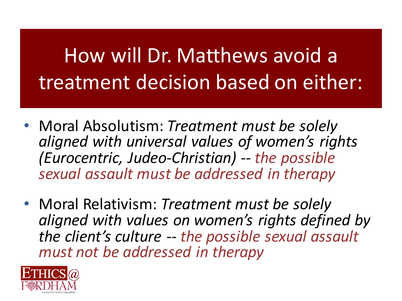# How will Dr. Matthews avoid a treatment decision based on either:

- Moral Absolutism: *Treatment must be solely aligned with universal values of women's rights (Eurocentric, Judeo-Christian) -- the possible sexual assault must be addressed in therapy*
- Moral Relativism: *Treatment must be solely aligned with values on women's rights defined by*  the client's culture -- the possible sexual assault *must not be addressed in therapy*

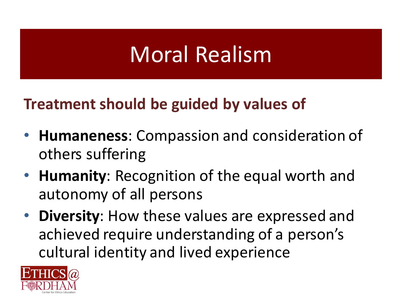## Moral Realism

#### **Treatment should be guided by values of**

- **Humaneness:** Compassion and consideration of others suffering
- **Humanity**: Recognition of the equal worth and autonomy of all persons
- **Diversity**: How these values are expressed and achieved require understanding of a person's cultural identity and lived experience

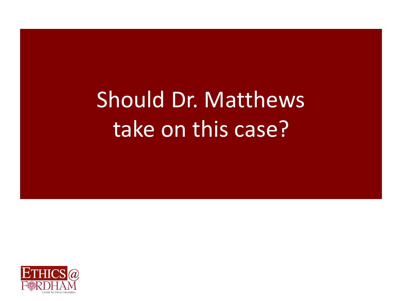# Should Dr. Matthews take on this case?

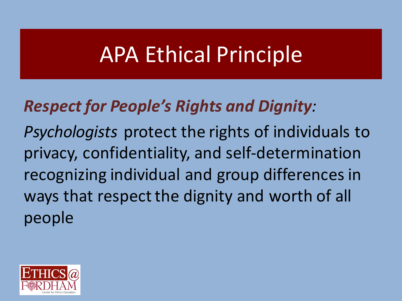## **APA Ethical Principle**

### *Respect for People's Rights and Dignity:*

*Psychologists* protect the rights of individuals to privacy, confidentiality, and self-determination recognizing individual and group differences in ways that respect the dignity and worth of all people

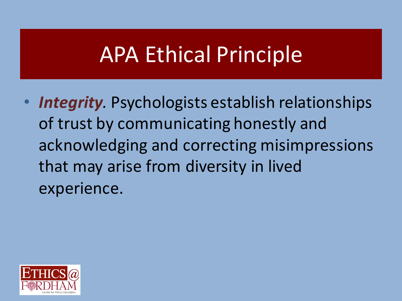## **APA Ethical Principle**

• *Integrity*. Psychologists establish relationships of trust by communicating honestly and acknowledging and correcting misimpressions that may arise from diversity in lived experience.

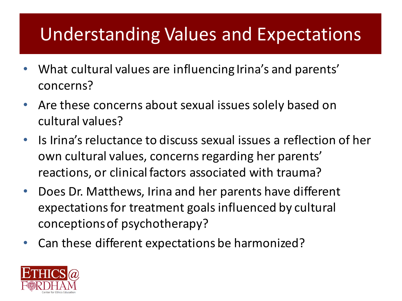### Understanding Values and Expectations

- What cultural values are influencing Irina's and parents' concerns?
- Are these concerns about sexual issues solely based on cultural values?
- Is Irina's reluctance to discuss sexual issues a reflection of her own cultural values, concerns regarding her parents' reactions, or clinical factors associated with trauma?
- Does Dr. Matthews, Irina and her parents have different expectations for treatment goals influenced by cultural conceptions of psychotherapy?
- Can these different expectations be harmonized?

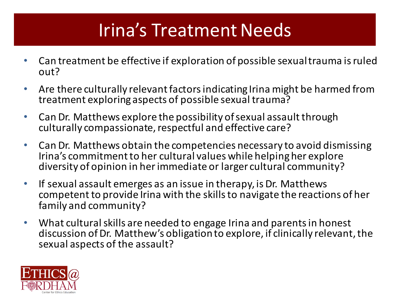### Irina's Treatment Needs

- Can treatment be effective if exploration of possible sexual trauma is ruled out?
- Are there culturally relevant factors indicating Irina might be harmed from treatment exploring aspects of possible sexual trauma?
- Can Dr. Matthews explore the possibility of sexual assault through culturally compassionate, respectful and effective care?
- Can Dr. Matthews obtain the competencies necessary to avoid dismissing Irina's commitment to her cultural values while helping her explore diversity of opinion in her immediate or larger cultural community?
- If sexual assault emerges as an issue in therapy, is Dr. Matthews competent to provide Irina with the skills to navigate the reactions of her family and community?
- What cultural skills are needed to engage Irina and parents in honest discussion of Dr. Matthew's obligation to explore, if clinically relevant, the sexual aspects of the assault?

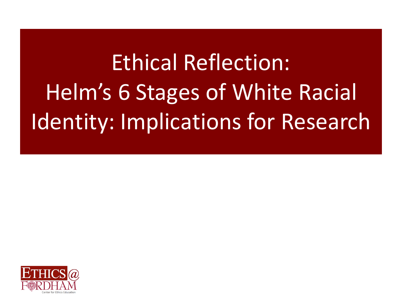# Ethical Reflection: Helm's 6 Stages of White Racial Identity: Implications for Research

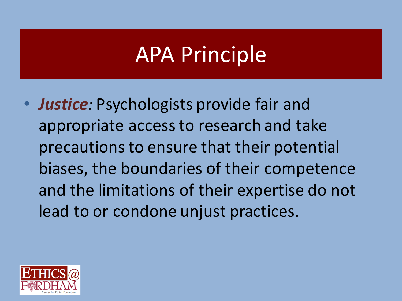## **APA Principle**

• *Justice*: Psychologists provide fair and appropriate access to research and take precautions to ensure that their potential biases, the boundaries of their competence and the limitations of their expertise do not lead to or condone unjust practices.

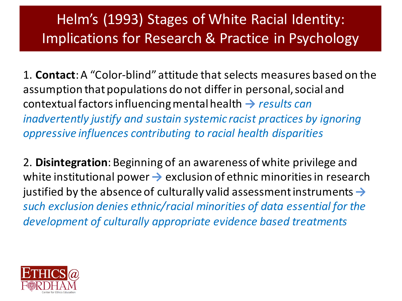#### Helm's (1993) Stages of White Racial Identity: Implications for Research & Practice in Psychology

1. **Contact**: A "Color-blind" attitude that selects measures based on the assumption that populations do not differ in personal, social and contextual factors influencing mental health → *results can inadvertently justify and sustain systemic racist practices by ignoring oppressive influences contributing to racial health disparities* 

2. **Disintegration**: Beginning of an awareness of white privilege and white institutional power  $\rightarrow$  exclusion of ethnic minorities in research justified by the absence of culturally valid assessment instruments  $\rightarrow$ such exclusion denies ethnic/racial minorities of data essential for the development of culturally appropriate evidence based treatments

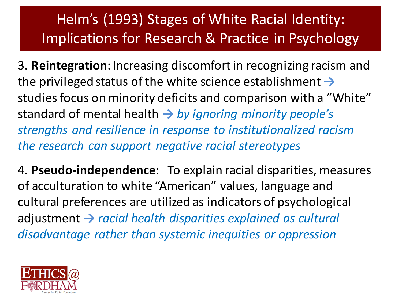#### Helm's (1993) Stages of White Racial Identity: Implications for Research & Practice in Psychology

3. **Reintegration**: Increasing discomfort in recognizing racism and the privileged status of the white science establishment  $\rightarrow$ studies focus on minority deficits and comparison with a "White" standard of mental health → *by ignoring minority people's* strengths and resilience in response to institutionalized racism *the research can support negative racial stereotypes* 

4. Pseudo-independence: To explain racial disparities, measures of acculturation to white "American" values, language and cultural preferences are utilized as indicators of psychological adjustment → *racial health disparities explained as cultural disadvantage rather than systemic inequities or oppression*

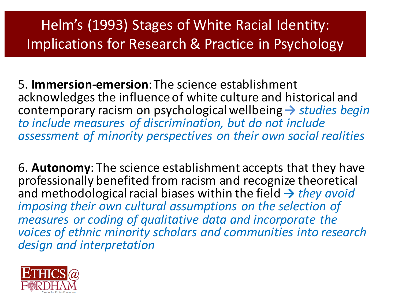### Helm's (1993) Stages of White Racial Identity: Implications for Research & Practice in Psychology

5. **Immersion-emersion**: The science establishment acknowledges the influence of white culture and historical and contemporary racism on psychological wellbeing → *studies begin* to include measures of discrimination, but do not include assessment of minority perspectives on their own social realities

**6. Autonomy:** The science establishment accepts that they have professionally benefited from racism and recognize theoretical and methodological racial biases within the field  $\rightarrow$  *they avoid imposing their own cultural assumptions on the selection of measures or coding of qualitative data and incorporate the* voices of ethnic minority scholars and communities into research *design and interpretation*

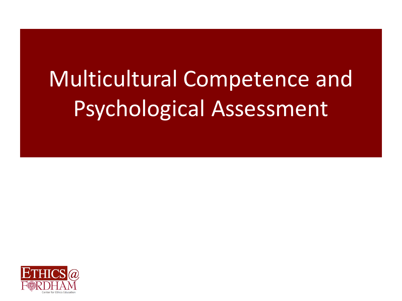# Multicultural Competence and Psychological Assessment

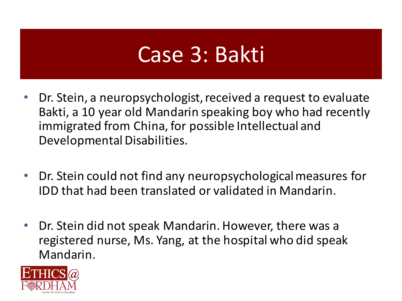## Case 3: Bakti

- Dr. Stein, a neuropsychologist, received a request to evaluate Bakti, a 10 year old Mandarin speaking boy who had recently immigrated from China, for possible Intellectual and Developmental Disabilities.
- Dr. Stein could not find any neuropsychological measures for IDD that had been translated or validated in Mandarin.
- Dr. Stein did not speak Mandarin. However, there was a registered nurse, Ms. Yang, at the hospital who did speak Mandarin.

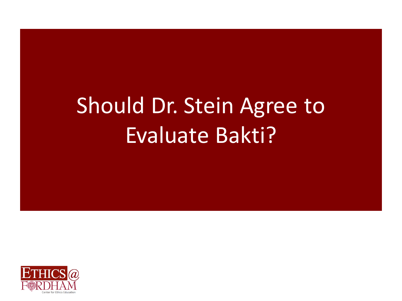# Should Dr. Stein Agree to Evaluate Bakti?

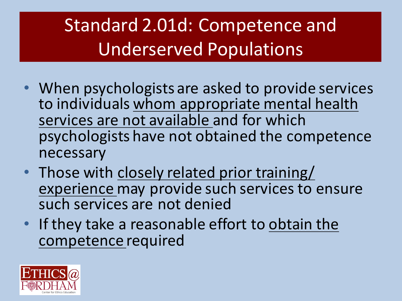## Standard 2.01d: Competence and Underserved Populations

- When psychologists are asked to provide services to individuals whom appropriate mental health services are not available and for which psychologists have not obtained the competence necessary
- Those with closely related prior training/ experience may provide such services to ensure such services are not denied
- $\cdot$  If they take a reasonable effort to obtain the competence required

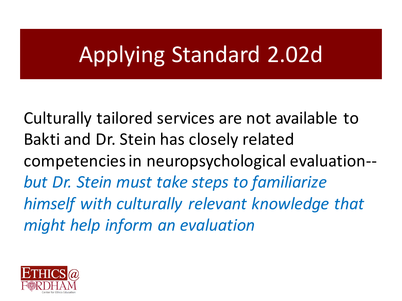# Applying Standard 2.02d

Culturally tailored services are not available to Bakti and Dr. Stein has closely related competencies in neuropsychological evaluation-but Dr. Stein must take steps to familiarize *himself* with culturally relevant knowledge that *might help inform an evaluation*

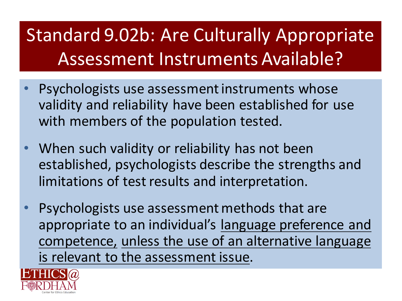### Standard 9.02b: Are Culturally Appropriate Assessment Instruments Available?

- Psychologists use assessment instruments whose validity and reliability have been established for use with members of the population tested.
- When such validity or reliability has not been established, psychologists describe the strengths and limitations of test results and interpretation.
- Psychologists use assessment methods that are appropriate to an individual's language preference and competence, unless the use of an alternative language is relevant to the assessment issue.

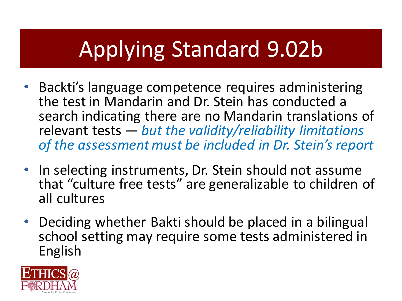# Applying Standard 9.02b

- Backti's language competence requires administering the test in Mandarin and Dr. Stein has conducted a search indicating there are no Mandarin translations of relevant tests — but the validity/reliability limitations of the assessment must be included in Dr. Stein's report
- In selecting instruments, Dr. Stein should not assume that "culture free tests" are generalizable to children of all cultures
- Deciding whether Bakti should be placed in a bilingual school setting may require some tests administered in English

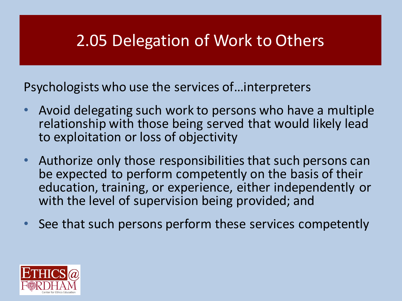### 2.05 Delegation of Work to Others

Psychologists who use the services of... interpreters

- Avoid delegating such work to persons who have a multiple relationship with those being served that would likely lead to exploitation or loss of objectivity
- Authorize only those responsibilities that such persons can be expected to perform competently on the basis of their education, training, or experience, either independently or with the level of supervision being provided; and
- See that such persons perform these services competently

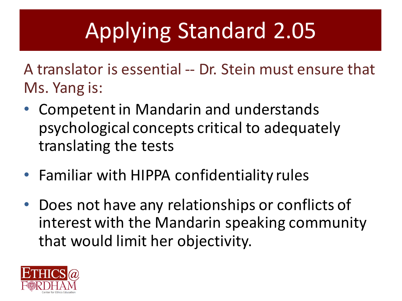# Applying Standard 2.05

A translator is essential -- Dr. Stein must ensure that Ms. Yang is:

- Competent in Mandarin and understands psychological concepts critical to adequately translating the tests
- Familiar with HIPPA confidentiality rules
- Does not have any relationships or conflicts of interest with the Mandarin speaking community that would limit her objectivity.

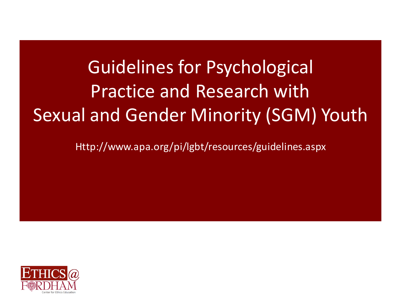## Guidelines for Psychological **Practice and Research with** Sexual and Gender Minority (SGM) Youth

Http://www.apa.org/pi/lgbt/resources/guidelines.aspx

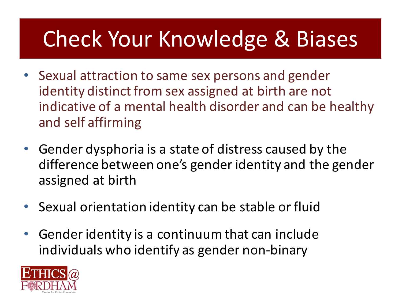# **Check Your Knowledge & Biases**

- Sexual attraction to same sex persons and gender identity distinct from sex assigned at birth are not indicative of a mental health disorder and can be healthy and self affirming
- Gender dysphoria is a state of distress caused by the difference between one's gender identity and the gender assigned at birth
- Sexual orientation identity can be stable or fluid
- Gender identity is a continuum that can include individuals who identify as gender non-binary

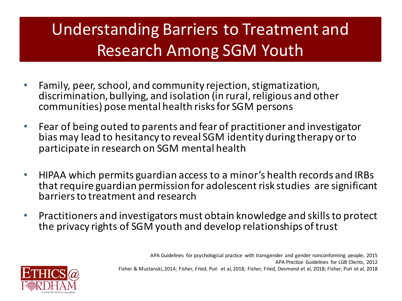### Understanding Barriers to Treatment and **Research Among SGM Youth**

- Family, peer, school, and community rejection, stigmatization, discrimination, bullying, and isolation (in rural, religious and other communities) pose mental health risks for SGM persons
- Fear of being outed to parents and fear of practitioner and investigator bias may lead to hesitancy to reveal SGM identity during therapy or to participate in research on SGM mental health
- HIPAA which permits guardian access to a minor's health records and IRBs that require guardian permission for adolescent risk studies are significant barriers to treatment and research
- Practitioners and investigators must obtain knowledge and skills to protect the privacy rights of SGM youth and develop relationships of trust

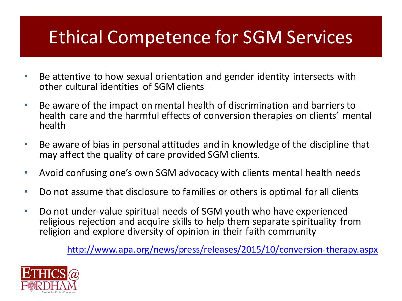### **Ethical Competence for SGM Services**

- Be attentive to how sexual orientation and gender identity intersects with other cultural identities of SGM clients
- Be aware of the impact on mental health of discrimination and barriers to health care and the harmful effects of conversion therapies on clients' mental health
- Be aware of bias in personal attitudes and in knowledge of the discipline that may affect the quality of care provided SGM clients.
- Avoid confusing one's own SGM advocacy with clients mental health needs
- Do not assume that disclosure to families or others is optimal for all clients
- Do not under-value spiritual needs of SGM youth who have experienced religious rejection and acquire skills to help them separate spirituality from religion and explore diversity of opinion in their faith community

http://www.apa.org/news/press/releases/2015/10/conversion-therapy.aspx

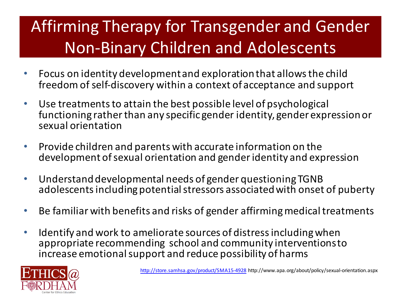### Affirming Therapy for Transgender and Gender **Non-Binary Children and Adolescents**

- Focus on identity development and exploration that allows the child freedom of self-discovery within a context of acceptance and support
- Use treatments to attain the best possible level of psychological functioning rather than any specific gender identity, gender expression or sexual orientation
- Provide children and parents with accurate information on the development of sexual orientation and gender identity and expression
- Understand developmental needs of gender questioning TGNB adolescents including potential stressors associated with onset of puberty
- Be familiar with benefits and risks of gender affirming medical treatments
- Identify and work to ameliorate sources of distress including when appropriate recommending school and community interventions to increase emotional support and reduce possibility of harms

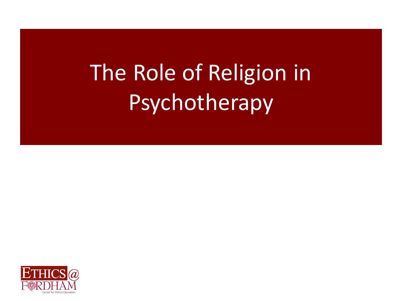# The Role of Religion in Psychotherapy

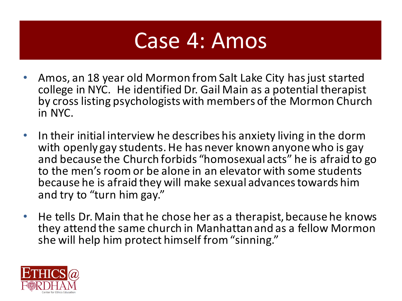## Case 4: Amos

- Amos, an 18 year old Mormon from Salt Lake City has just started college in NYC. He identified Dr. Gail Main as a potential therapist by cross listing psychologists with members of the Mormon Church in NYC.
- In their initial interview he describes his anxiety living in the dorm with openly gay students. He has never known anyone who is gay and because the Church forbids "homosexual acts" he is afraid to go to the men's room or be alone in an elevator with some students because he is afraid they will make sexual advances towards him and try to "turn him gay."
- He tells Dr. Main that he chose her as a therapist, because he knows they attend the same church in Manhattan and as a fellow Mormon she will help him protect himself from "sinning."

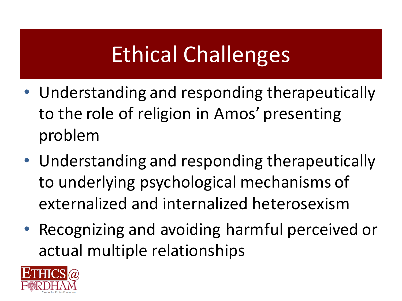# Ethical Challenges

- Understanding and responding therapeutically to the role of religion in Amos' presenting problem
- Understanding and responding therapeutically to underlying psychological mechanisms of externalized and internalized heterosexism
- Recognizing and avoiding harmful perceived or actual multiple relationships

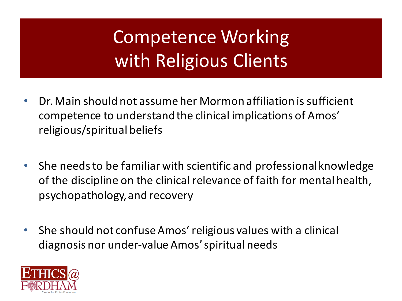## Competence Working with Religious Clients

- Dr. Main should not assume her Mormon affiliation is sufficient competence to understand the clinical implications of Amos' religious/spiritual beliefs
- She needs to be familiar with scientific and professional knowledge of the discipline on the clinical relevance of faith for mental health, psychopathology, and recovery
- She should not confuse Amos' religious values with a clinical diagnosis nor under-value Amos' spiritual needs

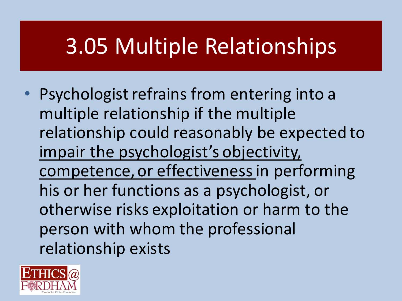# 3.05 Multiple Relationships

• Psychologist refrains from entering into a multiple relationship if the multiple relationship could reasonably be expected to impair the psychologist's objectivity, competence, or effectiveness in performing his or her functions as a psychologist, or otherwise risks exploitation or harm to the person with whom the professional relationship exists

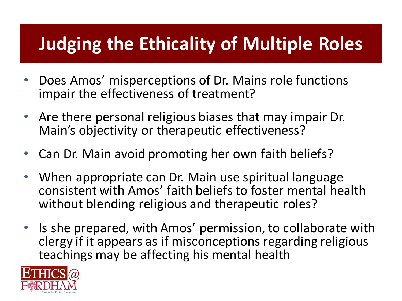### **Judging the Ethicality of Multiple Roles**

- Does Amos' misperceptions of Dr. Mains role functions impair the effectiveness of treatment?
- Are there personal religious biases that may impair Dr. Main's objectivity or therapeutic effectiveness?
- Can Dr. Main avoid promoting her own faith beliefs?
- When appropriate can Dr. Main use spiritual language consistent with Amos' faith beliefs to foster mental health without blending religious and therapeutic roles?
- Is she prepared, with Amos' permission, to collaborate with clergy if it appears as if misconceptions regarding religious teachings may be affecting his mental health

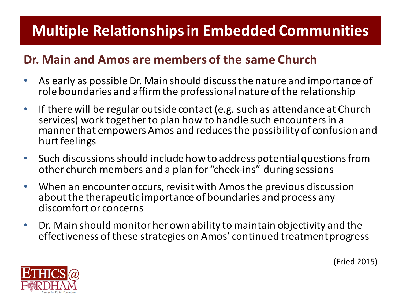### **Multiple Relationships in Embedded Communities**

#### Dr. Main and Amos are members of the same Church

- As early as possible Dr. Main should discuss the nature and importance of role boundaries and affirm the professional nature of the relationship
- If there will be regular outside contact (e.g. such as attendance at Church services) work together to plan how to handle such encounters in a manner that empowers Amos and reduces the possibility of confusion and hurt feelings
- Such discussions should include how to address potential questions from other church members and a plan for "check-ins" during sessions
- When an encounter occurs, revisit with Amos the previous discussion about the therapeutic importance of boundaries and process any discomfort or concerns
- Dr. Main should monitor her own ability to maintain objectivity and the effectiveness of these strategies on Amos' continued treatment progress



(Fried 2015)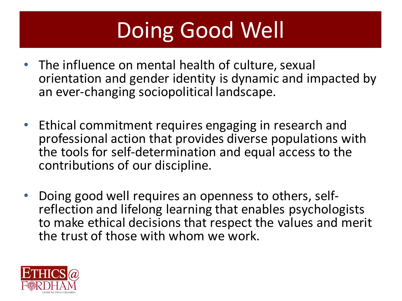# Doing Good Well

- The influence on mental health of culture, sexual orientation and gender identity is dynamic and impacted by an ever-changing sociopolitical landscape.
- Ethical commitment requires engaging in research and professional action that provides diverse populations with the tools for self-determination and equal access to the contributions of our discipline.
- Doing good well requires an openness to others, self-<br>reflection and lifelong learning that enables psychologists to make ethical decisions that respect the values and merit the trust of those with whom we work.

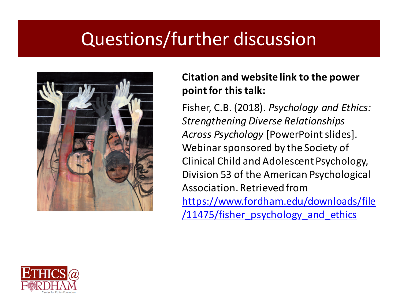### Questions/further discussion



#### **Citation and website link to the power point for this talk:**

Fisher, C.B. (2018). *Psychology and Ethics: Strengthening Diverse Relationships*  Across Psychology [PowerPoint slides]. Webinar sponsored by the Society of Clinical Child and Adolescent Psychology, Division 53 of the American Psychological Association. Retrieved from https://www.fordham.edu/downloads/file /11475/fisher\_psychology\_and\_ethics

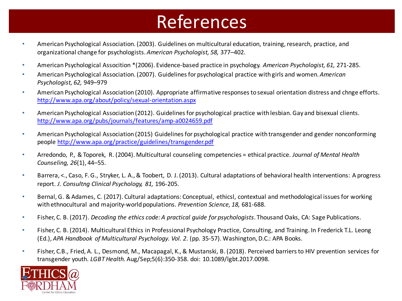### References

- American Psychological Association. (2003). Guidelines on multicultural education, training, research, practice, and organizational change for psychologists. American Psychologist, 58, 377–402.
- American Psychological Assocition \*(2006). Evidence-based practice in psychology. *American Psychologist, 61,* 271-285.
- American Psychological Association. (2007). Guidelines for psychological practice with girls and women. *American Psychologist, 62,* 949–979
- American Psychological Association (2010). Appropriate affirmative responses to sexual orientation distress and chnge efforts. http://www.apa.org/about/policy/sexual-orientation.aspx
- American Psychological Association (2012). Guidelines for psychological practice with lesbian. Gay and bisexual clients. http://www.apa.org/pubs/journals/features/amp-a0024659.pdf
- American Psychological Association (2015) Guidelines for psychological practice with transgender and gender nonconforming people http://www.apa.org/practice/guidelines/transgender.pdf
- Arredondo, P., & Toporek, R. (2004). Multicultural counseling competencies = ethical practice. *Journal of Mental Health Counseling, 26*(1), 44–55.
- Barrera, <., Caso, F. G., Stryker, L. A., & Toobert, D. J. (2013). Cultural adaptations of behavioral health interventions: A progress report. *J. Consultng Clinical Psychology, 81,* 196-205.
- Bernal, G. & Adames, C. (2017). Cultural adaptations: Conceptual, ethicsl, contextual and methodological issues for working with ethnocultural and majority-world populations. *Prevention Science, 18, 681-688*.
- Fisher, C. B. (2017). *Decoding the ethics code:* A practical quide for psychologists. Thousand Oaks, CA: Sage Publications.
- Fisher, C. B. (2014). Multicultural Ethics in Professional Psychology Practice, Consulting, and Training. In Frederick T.L. Leong (Ed.), *APA Handbook of Multicultural Psychology. Vol. 2.* (pp. 35-57). Washington, D.C.: APA Books.
- Fisher, C.B., Fried, A. L., Desmond, M., Macapagal, K., & Mustanski, B. (2018). Perceived barriers to HIV prevention services for transgender youth. *LGBT Health.* Aug/Sep;5(6):350-358. doi: 10.1089/lgbt.2017.0098.

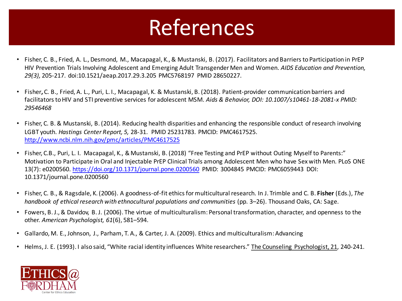# References

- Fisher, C. B., Fried, A. L., Desmond, M., Macapagal, K., & Mustanski, B. (2017). Facilitators and Barriers to Participation in PrEP HIV Prevention Trials Involving Adolescent and Emerging Adult Transgender Men and Women. *AIDS Education and Prevention*, 29(3), 205-217. doi:10.1521/aeap.2017.29.3.205 PMC5768197 PMID 28650227.
- Fisher, C. B., Fried, A. L., Puri, L. I., Macapagal, K. & Mustanski, B. (2018). Patient-provider communication barriers and facilitators to HIV and STI preventive services for adolescent MSM. Aids & Behavior, DOI: 10.1007/s10461-18-2081-x PMID: *29546468*
- Fisher, C. B. & Mustanski, B. (2014). Reducing health disparities and enhancing the responsible conduct of research involving LGBT youth. *Hastings Center Report, 5, 28-31. PMID 25231783. PMCID: PMC4617525.* http://www.ncbi.nlm.nih.gov/pmc/articles/PMC4617525
- Fisher, C.B., Puri, L. I. Macapagal, K., & Mustanski, B. (2018) "Free Testing and PrEP without Outing Myself to Parents:" Motivation to Participate in Oral and Injectable PrEP Clinical Trials among Adolescent Men who have Sex with Men. PLoS ONE 13(7): e0200560. https://doi.org/10.1371/journal.pone.0200560 PMID: 3004845 PMCID: PMC6059443 DOI: 10.1371/journal.pone.0200560
- Fisher, C. B., & Ragsdale, K. (2006). A goodness-of-fit ethics for multicultural research. In J. Trimble and C. B. Fisher (Eds.), The *handbook of ethical research with ethnocultural populations and communities* (pp. 3–26). Thousand Oaks, CA: Sage.
- Fowers, B.J., & Davidov, B.J. (2006). The virtue of multiculturalism: Personal transformation, character, and openness to the other. American Psychologist, 61(6), 581-594.
- Gallardo, M. E., Johnson, J., Parham, T. A., & Carter, J. A. (2009). Ethics and multiculturalism: Advancing
- Helms, J. E. (1993). I also said, "White racial identity influences White researchers." The Counseling Psychologist, 21, 240-241.

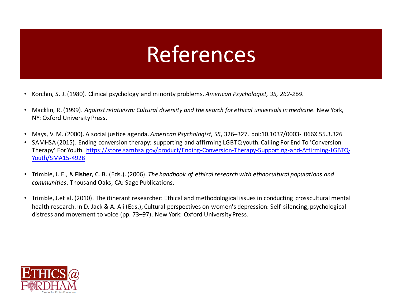### References

- Korchin, S. J. (1980). Clinical psychology and minority problems. *American Psychologist, 35, 262-269.*
- Macklin, R. (1999). *Against relativism: Cultural diversity and the search for ethical universals in medicine.* New York, NY: Oxford University Press.
- Mays, V. M. (2000). A social justice agenda. *American Psychologist,* 55, 326–327. doi:10.1037/0003- 066X.55.3.326
- SAMHSA (2015). Ending conversion therapy: supporting and affirming LGBTQ youth. Calling For End To 'Conversion Therapy' For Youth. https://store.samhsa.gov/product/Ending-Conversion-Therapy-Supporting-and-Affirming-LGBTQ-Youth/SMA15-4928
- Trimble, J. E., & Fisher, C. B. (Eds.). (2006). *The handbook of ethical research with ethnocultural populations and communities*. Thousand Oaks, CA: Sage Publications.
- Trimble, J.et al. (2010). The itinerant researcher: Ethical and methodological issues in conducting crosscultural mental health research. In D. Jack & A. Ali (Eds.), Cultural perspectives on women's depression: Self-silencing, psychological distress and movement to voice (pp. 73–97). New York: Oxford University Press.